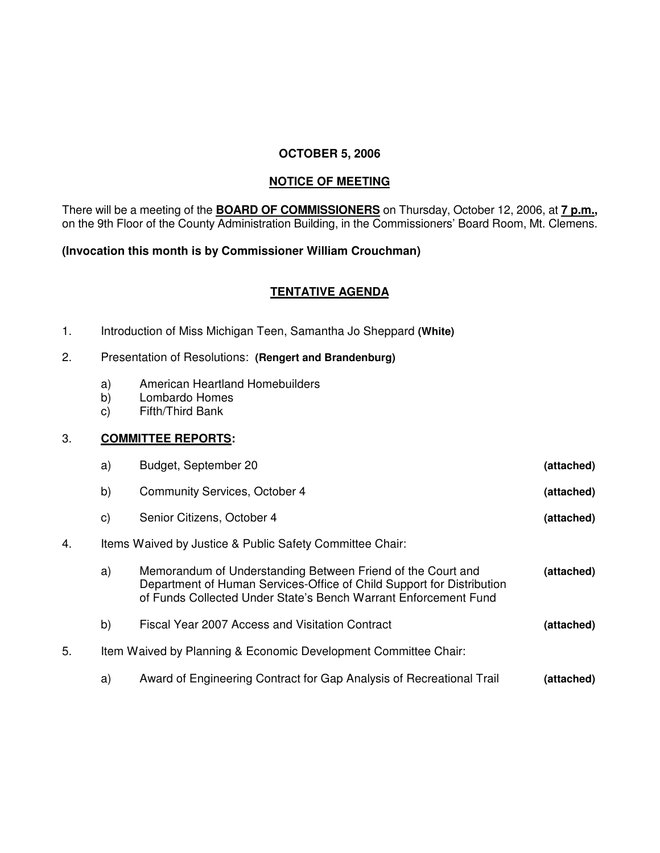## **OCTOBER 5, 2006**

## **NOTICE OF MEETING**

There will be a meeting of the **BOARD OF COMMISSIONERS** on Thursday, October 12, 2006, at **7 p.m.,** on the 9th Floor of the County Administration Building, in the Commissioners' Board Room, Mt. Clemens.

## **(Invocation this month is by Commissioner William Crouchman)**

## **TENTATIVE AGENDA**

1. Introduction of Miss Michigan Teen, Samantha Jo Sheppard **(White)**

# 2. Presentation of Resolutions: **(Rengert and Brandenburg)**

- a) American Heartland Homebuilders<br>b) Lombardo Homes
- Lombardo Homes
- c) Fifth/Third Bank

## 3. **COMMITTEE REPORTS:**

|    | a)                                                              | Budget, September 20                                                                                                                                                                                    | (attached) |  |
|----|-----------------------------------------------------------------|---------------------------------------------------------------------------------------------------------------------------------------------------------------------------------------------------------|------------|--|
|    | b)                                                              | Community Services, October 4                                                                                                                                                                           | (attached) |  |
|    | C)                                                              | Senior Citizens, October 4                                                                                                                                                                              | (attached) |  |
| 4. | Items Waived by Justice & Public Safety Committee Chair:        |                                                                                                                                                                                                         |            |  |
|    | a)                                                              | Memorandum of Understanding Between Friend of the Court and<br>Department of Human Services-Office of Child Support for Distribution<br>of Funds Collected Under State's Bench Warrant Enforcement Fund | (attached) |  |
|    | b)                                                              | Fiscal Year 2007 Access and Visitation Contract                                                                                                                                                         | (attached) |  |
| 5. | Item Waived by Planning & Economic Development Committee Chair: |                                                                                                                                                                                                         |            |  |
|    | a)                                                              | Award of Engineering Contract for Gap Analysis of Recreational Trail                                                                                                                                    | (attached) |  |